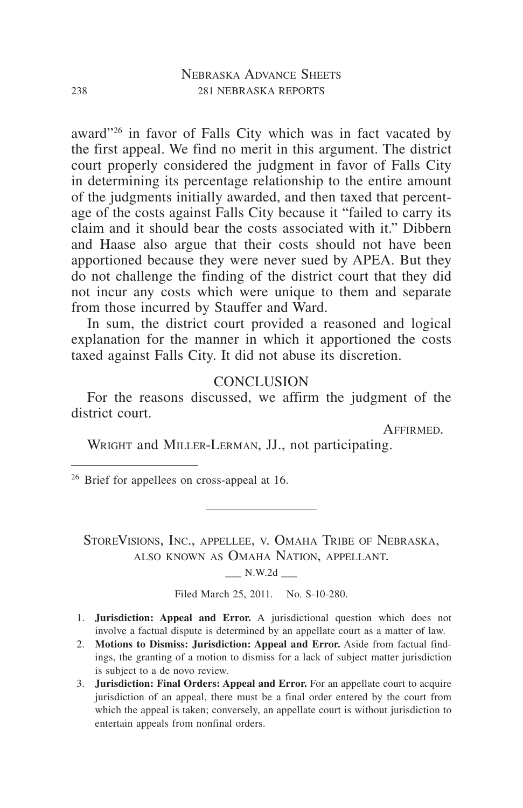award"26 in favor of Falls City which was in fact vacated by the first appeal. We find no merit in this argument. The district court properly considered the judgment in favor of Falls City in determining its percentage relationship to the entire amount of the judgments initially awarded, and then taxed that percentage of the costs against Falls City because it "failed to carry its claim and it should bear the costs associated with it." Dibbern and Haase also argue that their costs should not have been apportioned because they were never sued by APEA. But they do not challenge the finding of the district court that they did not incur any costs which were unique to them and separate from those incurred by Stauffer and Ward.

In sum, the district court provided a reasoned and logical explanation for the manner in which it apportioned the costs taxed against Falls City. It did not abuse its discretion.

#### **CONCLUSION**

For the reasons discussed, we affirm the judgment of the district court.

Affirmed.

WRIGHT and MILLER-LERMAN, JJ., not participating.

<sup>26</sup> Brief for appellees on cross-appeal at 16.

StoreVisions, Inc., appellee, v. Omaha Tribe of Nebraska, also known as Omaha Nation, appellant.

 $N.W.2d$   $\qquad$ 

Filed March 25, 2011. No. S-10-280.

- 1. **Jurisdiction: Appeal and Error.** A jurisdictional question which does not involve a factual dispute is determined by an appellate court as a matter of law.
- 2. Motions to Dismiss: Jurisdiction: Appeal and Error. Aside from factual findings, the granting of a motion to dismiss for a lack of subject matter jurisdiction is subject to a de novo review.
- **3. Jurisdiction: Final Orders: Appeal and Error.** For an appellate court to acquire jurisdiction of an appeal, there must be a final order entered by the court from which the appeal is taken; conversely, an appellate court is without jurisdiction to entertain appeals from nonfinal orders.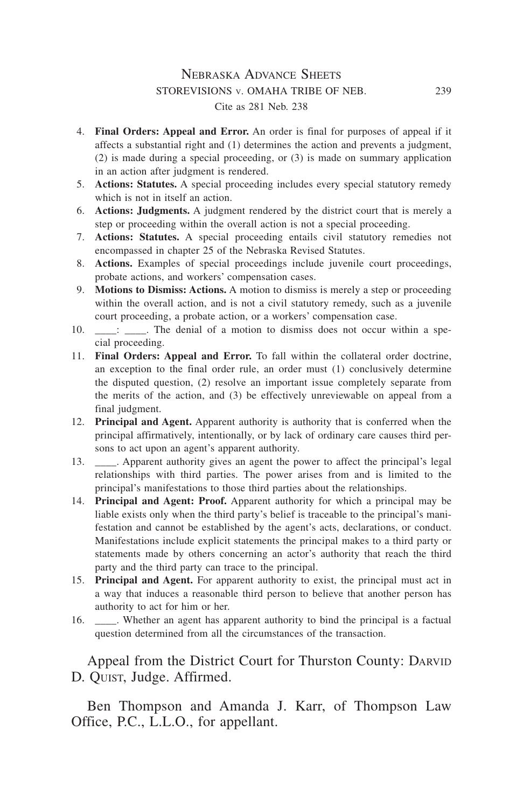#### Nebraska Advance Sheets storevisions v. omaha tribe of neb. 239 Cite as 281 Neb. 238

- 4. **Final Orders: Appeal and Error.** An order is final for purposes of appeal if it affects a substantial right and (1) determines the action and prevents a judgment, (2) is made during a special proceeding, or (3) is made on summary application in an action after judgment is rendered.
- 5. **Actions: Statutes.** A special proceeding includes every special statutory remedy which is not in itself an action.
- 6. **Actions: Judgments.** A judgment rendered by the district court that is merely a step or proceeding within the overall action is not a special proceeding.
- 7. **Actions: Statutes.** A special proceeding entails civil statutory remedies not encompassed in chapter 25 of the Nebraska Revised Statutes.
- 8. Actions. Examples of special proceedings include juvenile court proceedings, probate actions, and workers' compensation cases.
- 9. **Motions to Dismiss: Actions.** A motion to dismiss is merely a step or proceeding within the overall action, and is not a civil statutory remedy, such as a juvenile court proceeding, a probate action, or a workers' compensation case.
- 10.  $\therefore$  The denial of a motion to dismiss does not occur within a special proceeding.
- 11. **Final Orders: Appeal and Error.** To fall within the collateral order doctrine, an exception to the final order rule, an order must (1) conclusively determine the disputed question, (2) resolve an important issue completely separate from the merits of the action, and (3) be effectively unreviewable on appeal from a final judgment.
- 12. **Principal and Agent.** Apparent authority is authority that is conferred when the principal affirmatively, intentionally, or by lack of ordinary care causes third persons to act upon an agent's apparent authority.
- 13. \_\_\_\_\_. Apparent authority gives an agent the power to affect the principal's legal relationships with third parties. The power arises from and is limited to the principal's manifestations to those third parties about the relationships.
- 14. **Principal and Agent: Proof.** Apparent authority for which a principal may be liable exists only when the third party's belief is traceable to the principal's manifestation and cannot be established by the agent's acts, declarations, or conduct. Manifestations include explicit statements the principal makes to a third party or statements made by others concerning an actor's authority that reach the third party and the third party can trace to the principal.
- 15. **Principal and Agent.** For apparent authority to exist, the principal must act in a way that induces a reasonable third person to believe that another person has authority to act for him or her.
- 16. \_\_\_\_. Whether an agent has apparent authority to bind the principal is a factual question determined from all the circumstances of the transaction.

Appeal from the District Court for Thurston County: DARVID D. Quist, Judge. Affirmed.

Ben Thompson and Amanda J. Karr, of Thompson Law Office, P.C., L.L.O., for appellant.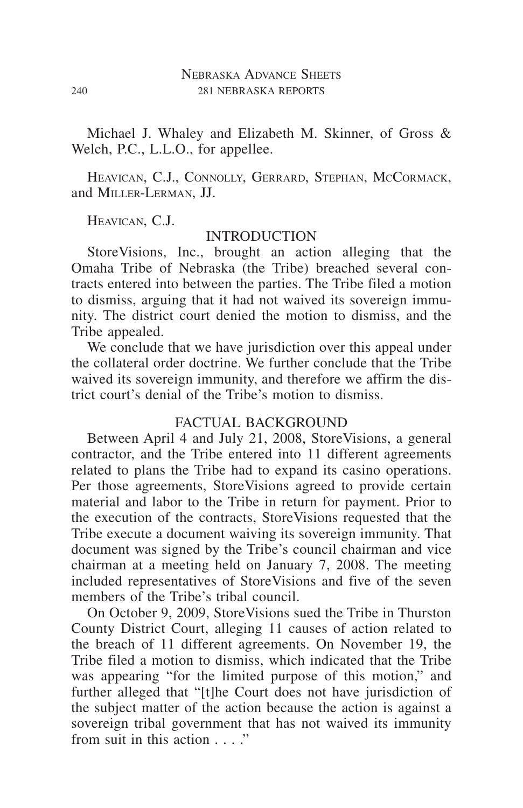Michael J. Whaley and Elizabeth M. Skinner, of Gross & Welch, P.C., L.L.O., for appellee.

HEAVICAN, C.J., CONNOLLY, GERRARD, STEPHAN, MCCORMACK, and Miller-Lerman, JJ.

Heavican, C.J.

#### **INTRODUCTION**

StoreVisions, Inc., brought an action alleging that the Omaha Tribe of Nebraska (the Tribe) breached several contracts entered into between the parties. The Tribe filed a motion to dismiss, arguing that it had not waived its sovereign immunity. The district court denied the motion to dismiss, and the Tribe appealed.

We conclude that we have jurisdiction over this appeal under the collateral order doctrine. We further conclude that the Tribe waived its sovereign immunity, and therefore we affirm the district court's denial of the Tribe's motion to dismiss.

## FACTUAL BACKGROUND

Between April 4 and July 21, 2008, StoreVisions, a general contractor, and the Tribe entered into 11 different agreements related to plans the Tribe had to expand its casino operations. Per those agreements, StoreVisions agreed to provide certain material and labor to the Tribe in return for payment. Prior to the execution of the contracts, StoreVisions requested that the Tribe execute a document waiving its sovereign immunity. That document was signed by the Tribe's council chairman and vice chairman at a meeting held on January 7, 2008. The meeting included representatives of StoreVisions and five of the seven members of the Tribe's tribal council.

On October 9, 2009, StoreVisions sued the Tribe in Thurston County District Court, alleging 11 causes of action related to the breach of 11 different agreements. On November 19, the Tribe filed a motion to dismiss, which indicated that the Tribe was appearing "for the limited purpose of this motion," and further alleged that "[t]he Court does not have jurisdiction of the subject matter of the action because the action is against a sovereign tribal government that has not waived its immunity from suit in this action  $\cdots$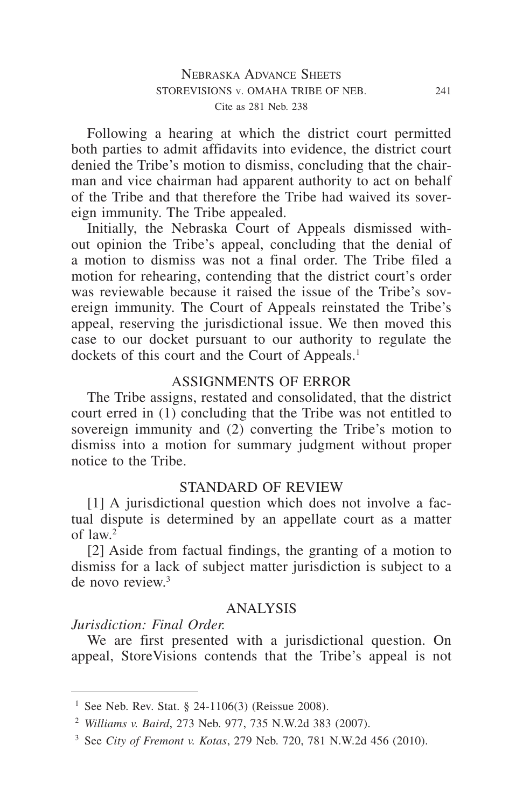Following a hearing at which the district court permitted both parties to admit affidavits into evidence, the district court denied the Tribe's motion to dismiss, concluding that the chairman and vice chairman had apparent authority to act on behalf of the Tribe and that therefore the Tribe had waived its sovereign immunity. The Tribe appealed.

Initially, the Nebraska Court of Appeals dismissed without opinion the Tribe's appeal, concluding that the denial of a motion to dismiss was not a final order. The Tribe filed a motion for rehearing, contending that the district court's order was reviewable because it raised the issue of the Tribe's sovereign immunity. The Court of Appeals reinstated the Tribe's appeal, reserving the jurisdictional issue. We then moved this case to our docket pursuant to our authority to regulate the dockets of this court and the Court of Appeals.<sup>1</sup>

#### ASSIGNMENTS OF ERROR

The Tribe assigns, restated and consolidated, that the district court erred in (1) concluding that the Tribe was not entitled to sovereign immunity and (2) converting the Tribe's motion to dismiss into a motion for summary judgment without proper notice to the Tribe.

#### STANDARD OF REVIEW

[1] A jurisdictional question which does not involve a factual dispute is determined by an appellate court as a matter of law.2

[2] Aside from factual findings, the granting of a motion to dismiss for a lack of subject matter jurisdiction is subject to a de novo review.3

### ANALYSIS

# *Jurisdiction: Final Order.*

We are first presented with a jurisdictional question. On appeal, StoreVisions contends that the Tribe's appeal is not

<sup>&</sup>lt;sup>1</sup> See Neb. Rev. Stat. § 24-1106(3) (Reissue 2008).

<sup>2</sup> *Williams v. Baird*, 273 Neb. 977, 735 N.W.2d 383 (2007).

<sup>3</sup> See *City of Fremont v. Kotas*, 279 Neb. 720, 781 N.W.2d 456 (2010).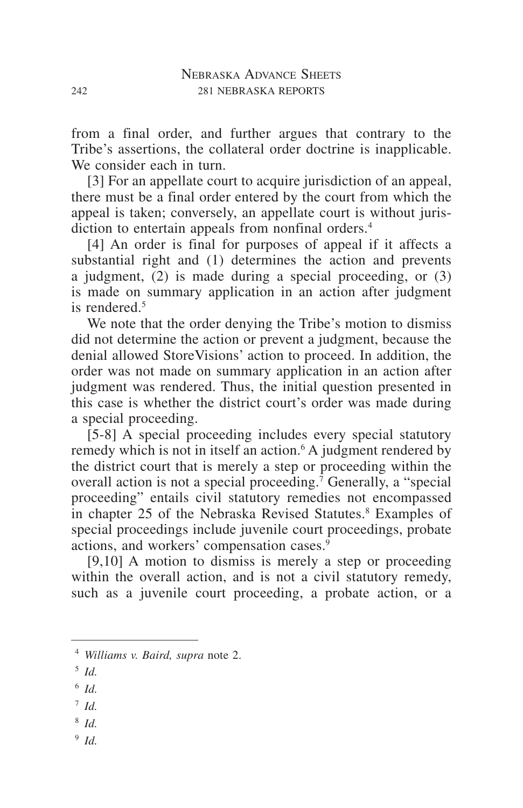from a final order, and further argues that contrary to the Tribe's assertions, the collateral order doctrine is inapplicable. We consider each in turn.

[3] For an appellate court to acquire jurisdiction of an appeal, there must be a final order entered by the court from which the appeal is taken; conversely, an appellate court is without jurisdiction to entertain appeals from nonfinal orders.<sup>4</sup>

[4] An order is final for purposes of appeal if it affects a substantial right and (1) determines the action and prevents a judgment, (2) is made during a special proceeding, or (3) is made on summary application in an action after judgment is rendered $<sup>5</sup>$ </sup>

We note that the order denying the Tribe's motion to dismiss did not determine the action or prevent a judgment, because the denial allowed StoreVisions' action to proceed. In addition, the order was not made on summary application in an action after judgment was rendered. Thus, the initial question presented in this case is whether the district court's order was made during a special proceeding.

[5-8] A special proceeding includes every special statutory remedy which is not in itself an action.<sup>6</sup> A judgment rendered by the district court that is merely a step or proceeding within the overall action is not a special proceeding.7 Generally, a "special proceeding" entails civil statutory remedies not encompassed in chapter 25 of the Nebraska Revised Statutes.<sup>8</sup> Examples of special proceedings include juvenile court proceedings, probate actions, and workers' compensation cases.<sup>9</sup>

[9,10] A motion to dismiss is merely a step or proceeding within the overall action, and is not a civil statutory remedy, such as a juvenile court proceeding, a probate action, or a

- <sup>5</sup> *Id.*
- <sup>6</sup> *Id.*
- <sup>7</sup> *Id.*
- <sup>8</sup> *Id.*
- <sup>9</sup> *Id.*

<sup>4</sup> *Williams v. Baird, supra* note 2.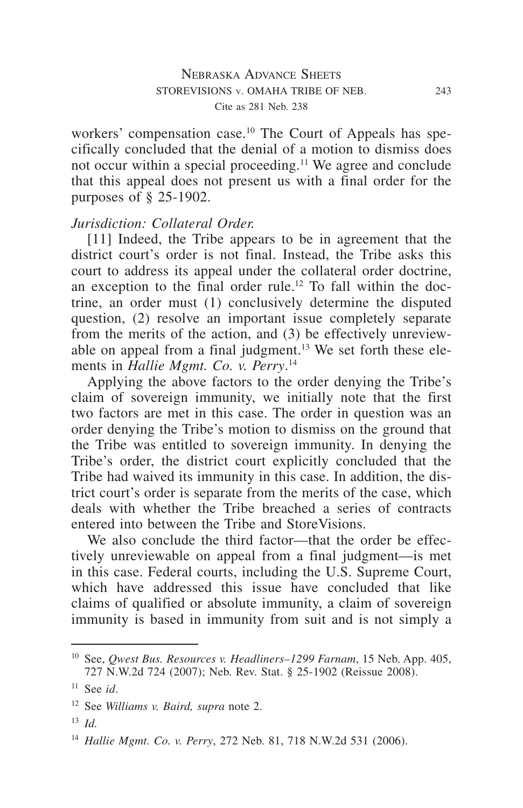workers' compensation case.<sup>10</sup> The Court of Appeals has specifically concluded that the denial of a motion to dismiss does not occur within a special proceeding.<sup>11</sup> We agree and conclude that this appeal does not present us with a final order for the purposes of § 25-1902.

#### *Jurisdiction: Collateral Order.*

[11] Indeed, the Tribe appears to be in agreement that the district court's order is not final. Instead, the Tribe asks this court to address its appeal under the collateral order doctrine, an exception to the final order rule.<sup>12</sup> To fall within the doctrine, an order must (1) conclusively determine the disputed question, (2) resolve an important issue completely separate from the merits of the action, and (3) be effectively unreviewable on appeal from a final judgment.<sup>13</sup> We set forth these elements in *Hallie Mgmt. Co. v. Perry*. 14

Applying the above factors to the order denying the Tribe's claim of sovereign immunity, we initially note that the first two factors are met in this case. The order in question was an order denying the Tribe's motion to dismiss on the ground that the Tribe was entitled to sovereign immunity. In denying the Tribe's order, the district court explicitly concluded that the Tribe had waived its immunity in this case. In addition, the district court's order is separate from the merits of the case, which deals with whether the Tribe breached a series of contracts entered into between the Tribe and StoreVisions.

We also conclude the third factor—that the order be effectively unreviewable on appeal from a final judgment—is met in this case. Federal courts, including the U.S. Supreme Court, which have addressed this issue have concluded that like claims of qualified or absolute immunity, a claim of sovereign immunity is based in immunity from suit and is not simply a

<sup>10</sup> See, *Qwest Bus. Resources v. Headliners–1299 Farnam*, 15 Neb. App. 405, 727 N.W.2d 724 (2007); Neb. Rev. Stat. § 25-1902 (Reissue 2008).

<sup>11</sup> See *id*.

<sup>12</sup> See *Williams v. Baird, supra* note 2.

<sup>13</sup> *Id.*

<sup>14</sup> *Hallie Mgmt. Co. v. Perry*, 272 Neb. 81, 718 N.W.2d 531 (2006).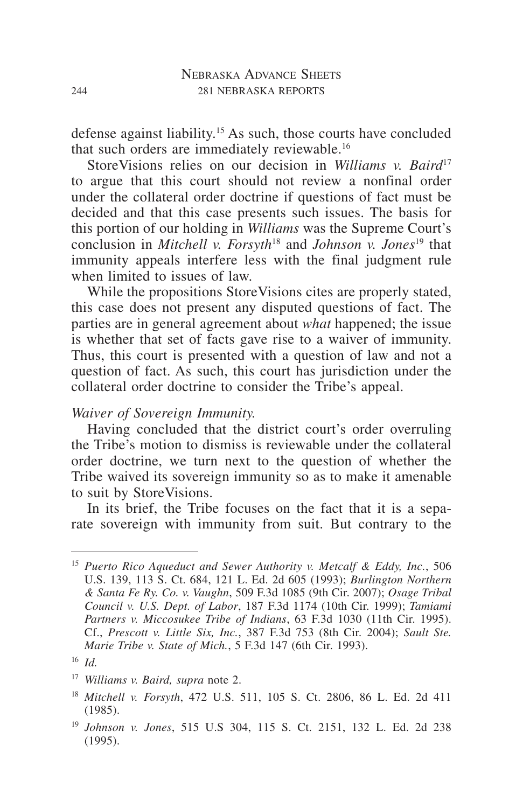defense against liability.15 As such, those courts have concluded that such orders are immediately reviewable.<sup>16</sup>

StoreVisions relies on our decision in *Williams v. Baird*<sup>17</sup> to argue that this court should not review a nonfinal order under the collateral order doctrine if questions of fact must be decided and that this case presents such issues. The basis for this portion of our holding in *Williams* was the Supreme Court's conclusion in *Mitchell v. Forsyth*<sup>18</sup> and *Johnson v. Jones*<sup>19</sup> that immunity appeals interfere less with the final judgment rule when limited to issues of law.

While the propositions StoreVisions cites are properly stated, this case does not present any disputed questions of fact. The parties are in general agreement about *what* happened; the issue is whether that set of facts gave rise to a waiver of immunity. Thus, this court is presented with a question of law and not a question of fact. As such, this court has jurisdiction under the collateral order doctrine to consider the Tribe's appeal.

#### *Waiver of Sovereign Immunity.*

Having concluded that the district court's order overruling the Tribe's motion to dismiss is reviewable under the collateral order doctrine, we turn next to the question of whether the Tribe waived its sovereign immunity so as to make it amenable to suit by StoreVisions.

In its brief, the Tribe focuses on the fact that it is a separate sovereign with immunity from suit. But contrary to the

<sup>15</sup> *Puerto Rico Aqueduct and Sewer Authority v. Metcalf & Eddy, Inc.*, 506 U.S. 139, 113 S. Ct. 684, 121 L. Ed. 2d 605 (1993); *Burlington Northern & Santa Fe Ry. Co. v. Vaughn*, 509 F.3d 1085 (9th Cir. 2007); *Osage Tribal Council v. U.S. Dept. of Labor*, 187 F.3d 1174 (10th Cir. 1999); *Tamiami Partners v. Miccosukee Tribe of Indians*, 63 F.3d 1030 (11th Cir. 1995). Cf., *Prescott v. Little Six, Inc.*, 387 F.3d 753 (8th Cir. 2004); *Sault Ste. Marie Tribe v. State of Mich.*, 5 F.3d 147 (6th Cir. 1993).

<sup>16</sup> *Id.*

<sup>17</sup> *Williams v. Baird, supra* note 2.

<sup>18</sup> *Mitchell v. Forsyth*, 472 U.S. 511, 105 S. Ct. 2806, 86 L. Ed. 2d 411 (1985).

<sup>19</sup> *Johnson v. Jones*, 515 U.S 304, 115 S. Ct. 2151, 132 L. Ed. 2d 238 (1995).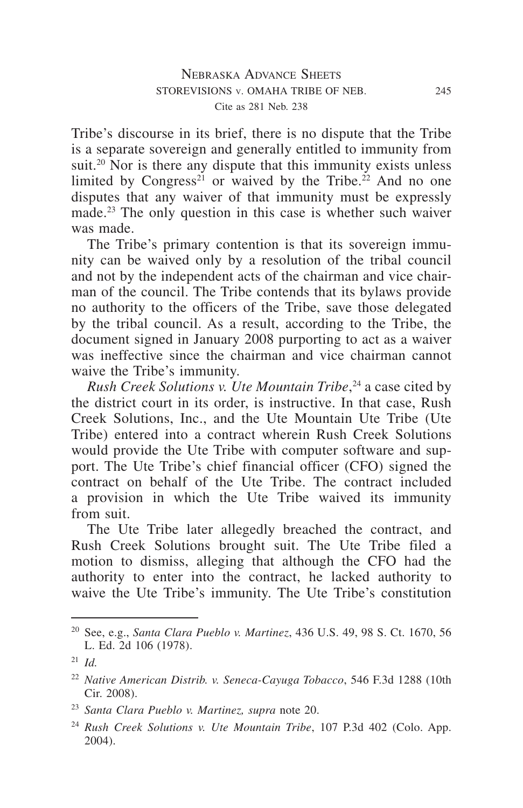Tribe's discourse in its brief, there is no dispute that the Tribe is a separate sovereign and generally entitled to immunity from suit.<sup>20</sup> Nor is there any dispute that this immunity exists unless limited by Congress<sup>21</sup> or waived by the Tribe.<sup>22</sup> And no one disputes that any waiver of that immunity must be expressly made.<sup>23</sup> The only question in this case is whether such waiver was made.

The Tribe's primary contention is that its sovereign immunity can be waived only by a resolution of the tribal council and not by the independent acts of the chairman and vice chairman of the council. The Tribe contends that its bylaws provide no authority to the officers of the Tribe, save those delegated by the tribal council. As a result, according to the Tribe, the document signed in January 2008 purporting to act as a waiver was ineffective since the chairman and vice chairman cannot waive the Tribe's immunity.

*Rush Creek Solutions v. Ute Mountain Tribe*, <sup>24</sup> a case cited by the district court in its order, is instructive. In that case, Rush Creek Solutions, Inc., and the Ute Mountain Ute Tribe (Ute Tribe) entered into a contract wherein Rush Creek Solutions would provide the Ute Tribe with computer software and support. The Ute Tribe's chief financial officer (CFO) signed the contract on behalf of the Ute Tribe. The contract included a provision in which the Ute Tribe waived its immunity from suit.

The Ute Tribe later allegedly breached the contract, and Rush Creek Solutions brought suit. The Ute Tribe filed a motion to dismiss, alleging that although the CFO had the authority to enter into the contract, he lacked authority to waive the Ute Tribe's immunity. The Ute Tribe's constitution

<sup>20</sup> See, e.g., *Santa Clara Pueblo v. Martinez*, 436 U.S. 49, 98 S. Ct. 1670, 56 L. Ed. 2d 106 (1978).

<sup>21</sup> *Id.*

<sup>22</sup> *Native American Distrib. v. Seneca-Cayuga Tobacco*, 546 F.3d 1288 (10th Cir. 2008).

<sup>23</sup> *Santa Clara Pueblo v. Martinez, supra* note 20.

<sup>24</sup> *Rush Creek Solutions v. Ute Mountain Tribe*, 107 P.3d 402 (Colo. App. 2004).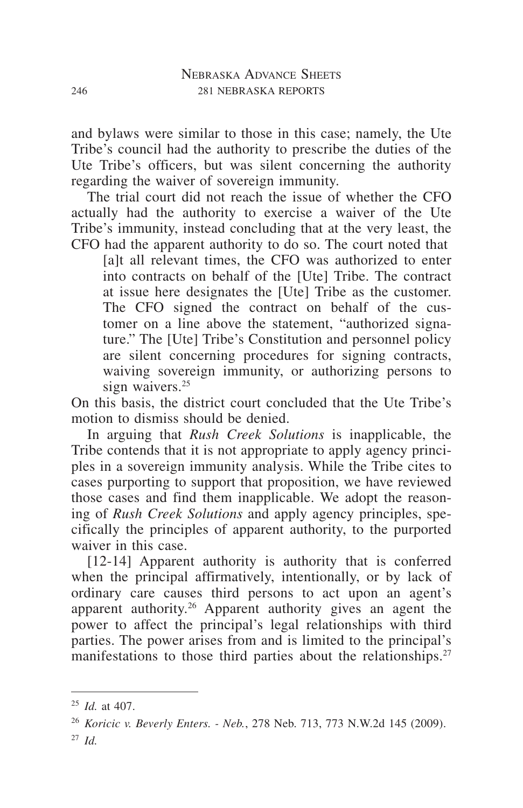and bylaws were similar to those in this case; namely, the Ute Tribe's council had the authority to prescribe the duties of the Ute Tribe's officers, but was silent concerning the authority regarding the waiver of sovereign immunity.

The trial court did not reach the issue of whether the CFO actually had the authority to exercise a waiver of the Ute Tribe's immunity, instead concluding that at the very least, the CFO had the apparent authority to do so. The court noted that

[a]t all relevant times, the CFO was authorized to enter into contracts on behalf of the [Ute] Tribe. The contract at issue here designates the [Ute] Tribe as the customer. The CFO signed the contract on behalf of the customer on a line above the statement, "authorized signature." The [Ute] Tribe's Constitution and personnel policy are silent concerning procedures for signing contracts, waiving sovereign immunity, or authorizing persons to sign waivers.<sup>25</sup>

On this basis, the district court concluded that the Ute Tribe's motion to dismiss should be denied.

In arguing that *Rush Creek Solutions* is inapplicable, the Tribe contends that it is not appropriate to apply agency principles in a sovereign immunity analysis. While the Tribe cites to cases purporting to support that proposition, we have reviewed those cases and find them inapplicable. We adopt the reasoning of *Rush Creek Solutions* and apply agency principles, specifically the principles of apparent authority, to the purported waiver in this case.

[12-14] Apparent authority is authority that is conferred when the principal affirmatively, intentionally, or by lack of ordinary care causes third persons to act upon an agent's apparent authority.26 Apparent authority gives an agent the power to affect the principal's legal relationships with third parties. The power arises from and is limited to the principal's manifestations to those third parties about the relationships.<sup>27</sup>

<sup>25</sup> *Id.* at 407.

<sup>26</sup> *Koricic v. Beverly Enters. - Neb.*, 278 Neb. 713, 773 N.W.2d 145 (2009). <sup>27</sup> *Id.*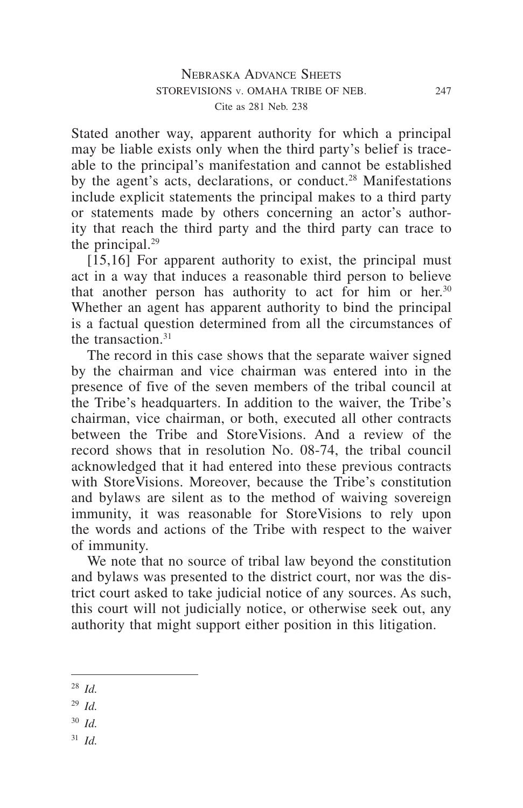Stated another way, apparent authority for which a principal may be liable exists only when the third party's belief is traceable to the principal's manifestation and cannot be established by the agent's acts, declarations, or conduct.<sup>28</sup> Manifestations include explicit statements the principal makes to a third party or statements made by others concerning an actor's authority that reach the third party and the third party can trace to the principal.<sup>29</sup>

[15,16] For apparent authority to exist, the principal must act in a way that induces a reasonable third person to believe that another person has authority to act for him or her.<sup>30</sup> Whether an agent has apparent authority to bind the principal is a factual question determined from all the circumstances of the transaction  $31$ 

The record in this case shows that the separate waiver signed by the chairman and vice chairman was entered into in the presence of five of the seven members of the tribal council at the Tribe's headquarters. In addition to the waiver, the Tribe's chairman, vice chairman, or both, executed all other contracts between the Tribe and StoreVisions. And a review of the record shows that in resolution No. 08-74, the tribal council acknowledged that it had entered into these previous contracts with StoreVisions. Moreover, because the Tribe's constitution and bylaws are silent as to the method of waiving sovereign immunity, it was reasonable for StoreVisions to rely upon the words and actions of the Tribe with respect to the waiver of immunity.

We note that no source of tribal law beyond the constitution and bylaws was presented to the district court, nor was the district court asked to take judicial notice of any sources. As such, this court will not judicially notice, or otherwise seek out, any authority that might support either position in this litigation.

- <sup>29</sup> *Id.*
- <sup>30</sup> *Id.*
- <sup>31</sup> *Id.*

<sup>28</sup> *Id.*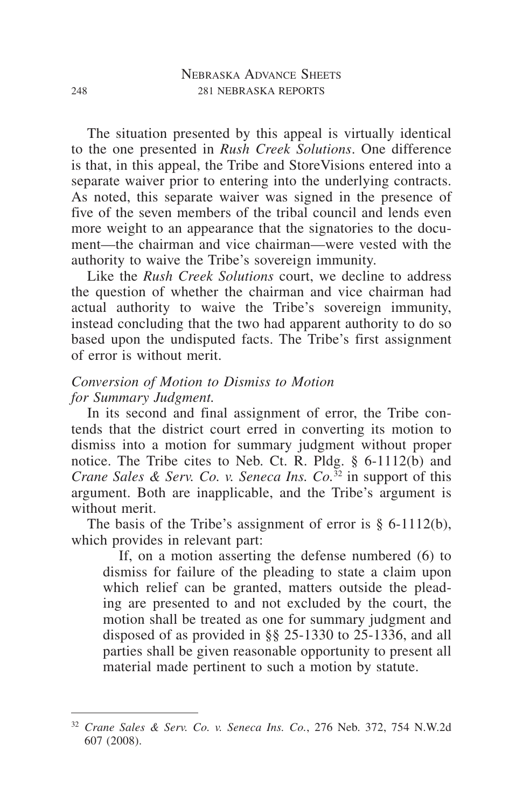The situation presented by this appeal is virtually identical to the one presented in *Rush Creek Solutions*. One difference is that, in this appeal, the Tribe and StoreVisions entered into a separate waiver prior to entering into the underlying contracts. As noted, this separate waiver was signed in the presence of five of the seven members of the tribal council and lends even more weight to an appearance that the signatories to the document—the chairman and vice chairman—were vested with the authority to waive the Tribe's sovereign immunity.

Like the *Rush Creek Solutions* court, we decline to address the question of whether the chairman and vice chairman had actual authority to waive the Tribe's sovereign immunity, instead concluding that the two had apparent authority to do so based upon the undisputed facts. The Tribe's first assignment of error is without merit.

## *Conversion of Motion to Dismiss to Motion for Summary Judgment.*

In its second and final assignment of error, the Tribe contends that the district court erred in converting its motion to dismiss into a motion for summary judgment without proper notice. The Tribe cites to Neb. Ct. R. Pldg. § 6-1112(b) and *Crane Sales & Serv. Co. v. Seneca Ins. Co.*<sup>32</sup> in support of this argument. Both are inapplicable, and the Tribe's argument is without merit.

The basis of the Tribe's assignment of error is  $\S$  6-1112(b), which provides in relevant part:

If, on a motion asserting the defense numbered (6) to dismiss for failure of the pleading to state a claim upon which relief can be granted, matters outside the pleading are presented to and not excluded by the court, the motion shall be treated as one for summary judgment and disposed of as provided in §§ 25-1330 to 25-1336, and all parties shall be given reasonable opportunity to present all material made pertinent to such a motion by statute.

<sup>32</sup> *Crane Sales & Serv. Co. v. Seneca Ins. Co.*, 276 Neb. 372, 754 N.W.2d 607 (2008).